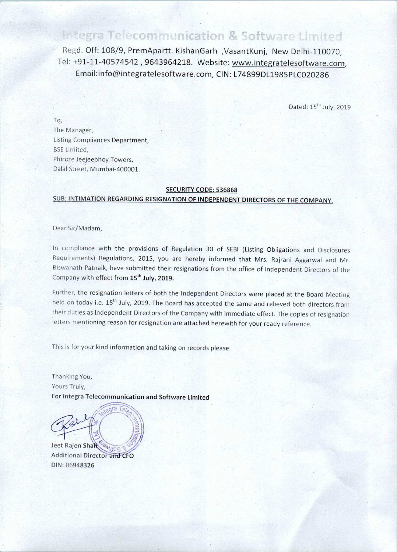# Integra Telecommunication & Software Limited

Regd. Off: 108/9, PremApartt. KishanGarh ,VasantKunj, New Delhi—110070, Tel: +91-11—4OS74542 , 9643964218. Website: www.integratelesoftware.com, Emai|:info@integratelesoftware.com, CIN: L74899DL1985PLC020286

Dated: 15"" July, 2019

To, The Manager, Listing Compliances Department, BSE Limited, Phiroze Jeejeebhoy Towers, Dalal Street, Mumbai-400001.

#### SECURITY CODE: 536868

## SUB: INTIMATION REGARDING RESIGNATION OF INDEPENDENT DIRECTORS OF THE COMPANY.

Dear Sir/Madam,

In compliance with the provisions of Regulation 30 of SEBI (Listing Obligations and Disclosures Requiiements) Regulations, 2015, you are hereby informed that Mrs. Rajrani Aggarwal and Mr. Biswanath Patnaik, have submitted their resignations from the office of Independent Directors of the Company with effect from 15<sup>th</sup> July, 2019.

Further, the resignation letters of both the independent Directors were placed at the Board Meeting held on today i.e. 15<sup>th</sup> July, 2019. The Board has accepted the same and relieved both directors from their duties as Independent Directors of the Company with immediate effect. The copies of resignation letters mentioning reason for resignation are attached herewith for your ready reference.

This is for your kind information and taking on records please

Thanking You, Yours Truly, For Integra Telecommunication and Software Limited

Jeet Rajen Shah

Jeet Rajen Shah <sup>Co</sup>myos<br>Additional Director and CFO DIN: 06948326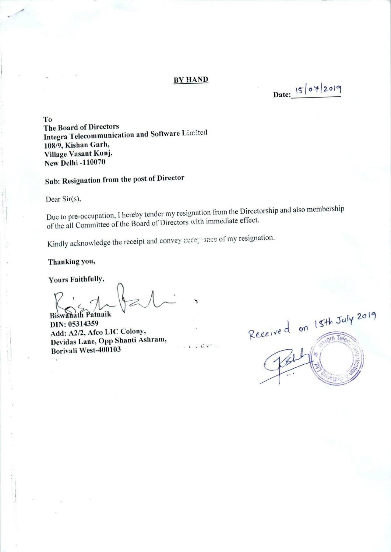#### BY HAND

Date:  $|5|07|2019$ 

To The Board of Directors Integra Telecommunication and Software Limited 108/9, Kishan Garh, Village Vasant Kunj, New Delhi —110070

Sub: Resignation from the post of Director

Dear Sir(s),

Due to pre-occupation, I hereby tender my resignation from the Directorship and also membership of the all Committee of the Board of Directors with immediate effect.

 $\ldots$  .

Kindly acknowledge the receipt and convey acce; fance of my resignation.

Thanking you,

Yours Faithfully,

 $R$ Eiswanath Patnaik

DIN: 05314359 Add: A2/2, Afco LIC Colony, Devidas Lane, Opp Shanti Ashram, Borivali West—400103

Received on 15th July 2019